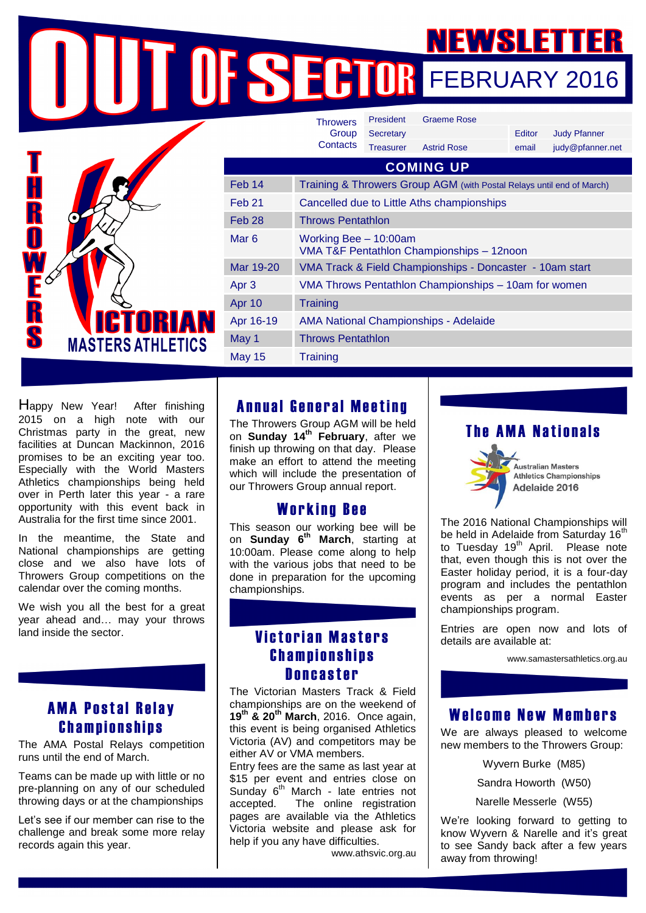@pfanner.net

FEBRUARY 2016

|                                             |                   | <b>Throwers</b>                                                       | President        | <b>Graeme Rose</b> |        |                     |
|---------------------------------------------|-------------------|-----------------------------------------------------------------------|------------------|--------------------|--------|---------------------|
|                                             |                   | Group                                                                 | Secretary        |                    | Editor | <b>Judy Pfanner</b> |
|                                             |                   | Contacts                                                              | <b>Treasurer</b> | <b>Astrid Rose</b> | email  | judy@pfanner        |
|                                             | <b>COMING UP</b>  |                                                                       |                  |                    |        |                     |
| <b>ICTORIAN</b><br><b>MASTERS ATHLETICS</b> | Feb 14            | Training & Throwers Group AGM (with Postal Relays until end of March) |                  |                    |        |                     |
|                                             | Feb <sub>21</sub> | Cancelled due to Little Aths championships                            |                  |                    |        |                     |
|                                             | Feb <sub>28</sub> | <b>Throws Pentathlon</b>                                              |                  |                    |        |                     |
|                                             | Mar <sub>6</sub>  | Working Bee - 10:00am<br>VMA T&F Pentathlon Championships - 12noon    |                  |                    |        |                     |
|                                             | Mar 19-20         | VMA Track & Field Championships - Doncaster - 10am start              |                  |                    |        |                     |
|                                             | Apr <sub>3</sub>  | VMA Throws Pentathlon Championships - 10am for women                  |                  |                    |        |                     |
|                                             | Apr 10            | <b>Training</b>                                                       |                  |                    |        |                     |
|                                             | Apr 16-19         | <b>AMA National Championships - Adelaide</b>                          |                  |                    |        |                     |
|                                             | May 1             | <b>Throws Pentathlon</b>                                              |                  |                    |        |                     |
|                                             | <b>May 15</b>     | <b>Training</b>                                                       |                  |                    |        |                     |

Happy New Year! After finishing 2015 on a high note with our Christmas party in the great, new facilities at Duncan Mackinnon, 2016 promises to be an exciting year too. Especially with the World Masters Athletics championships being held over in Perth later this year - a rare opportunity with this event back in Australia for the first time since 2001.

In the meantime, the State and National championships are getting close and we also have lots of Throwers Group competitions on the calendar over the coming months.

We wish you all the best for a great year ahead and… may your throws land inside the sector.

### **AMA Postal Relay Championships**

The AMA Postal Relays competition runs until the end of March.

Teams can be made up with little or no pre-planning on any of our scheduled throwing days or at the championships

Let's see if our member can rise to the challenge and break some more relay records again this year.

### Annual General Meeting

The Throwers Group AGM will be held on **Sunday 14 th February**, after we finish up throwing on that day. Please make an effort to attend the meeting which will include the presentation of our Throwers Group annual report.

#### **Working Bee**

This season our working bee will be on **Sunday 6 th March**, starting at 10:00am. Please come along to help with the various jobs that need to be done in preparation for the upcoming championships.

## **Victorian Masters Championships Doncaster**

The Victorian Masters Track & Field championships are on the weekend of **19th & 20th March**, 2016. Once again, this event is being organised Athletics Victoria (AV) and competitors may be either AV or VMA members.

Entry fees are the same as last year at \$15 per event and entries close on Sunday  $6<sup>th</sup>$  March - late entries not accepted. The online registration pages are available via the Athletics Victoria website and please ask for help if you any have difficulties.

www.athsvic.org.au

# **The AMA Nationals**



Adelaide 2016 The 2016 National Championships will

be held in Adelaide from Saturday 16<sup>th</sup> to Tuesday 19<sup>th</sup> April. Please note that, even though this is not over the Easter holiday period, it is a four-day program and includes the pentathlon events as per a normal Easter championships program.

Entries are open now and lots of details are available at:

www.samastersathletics.org.au

### Welcome New Members

We are always pleased to welcome new members to the Throwers Group:

Wyvern Burke (M85)

Sandra Howorth (W50)

Narelle Messerle (W55)

We're looking forward to getting to know Wyvern & Narelle and it's great to see Sandy back after a few years away from throwing!